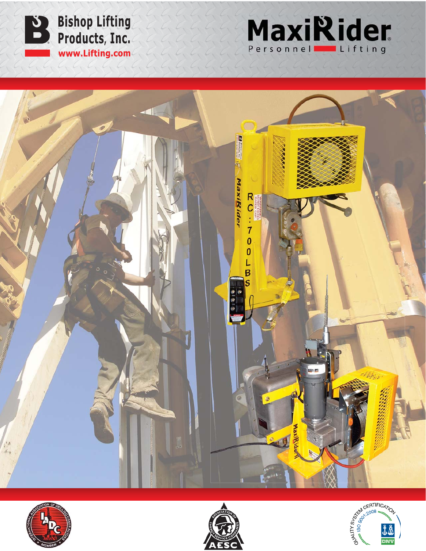









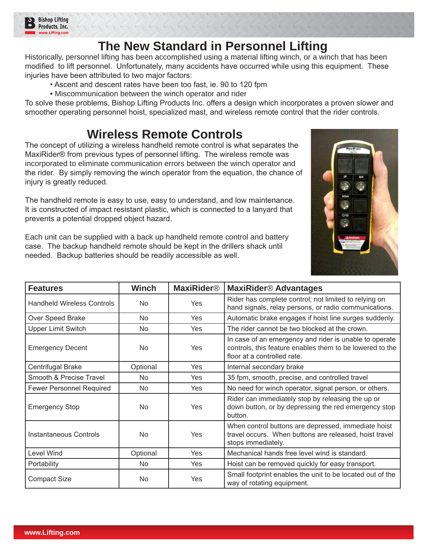

## **The New Standard in Personnel Lifting**

Historically, personnel lifting has been accomplished using a material lifting winch, or a winch that has been modified to lift personnel. Unfortunately, many accidents have occurred while using this equipment. These injuries have been attributed to two major factors:

- . Ascent and descent rates have been too fast, ie. 90 to 120 fpm
- Miscommunication between the winch operator and rider

To solve these problems, Bishop Lifting Products Inc. offers a design which incorporates a proven slower and smoother operating personnel hoist, specialized mast, and wireless remote control that the rider controls.

## **Wireless Remote Controls**

The concept of utilizing a wireless handheld remote control is what separates the MaxiRider<sup>®</sup> from previous types of personnel lifting. The wireless remote was incorporated to eliminate communication errors between the winch operator and the rider. By simply removing the winch operator from the equation, the chance of injury is greatly reduced.

The handheld remote is easy to use, easy to understand, and low maintenance. It is constructed of impact resistant plastic, which is connected to a lanyard that prevents a potential dropped object hazard.

Each unit can be supplied with a back up handheld remote control and battery case. The backup handheld remote should be kept in the drillers shack until needed. Backup batteries should be readily accessible as well.



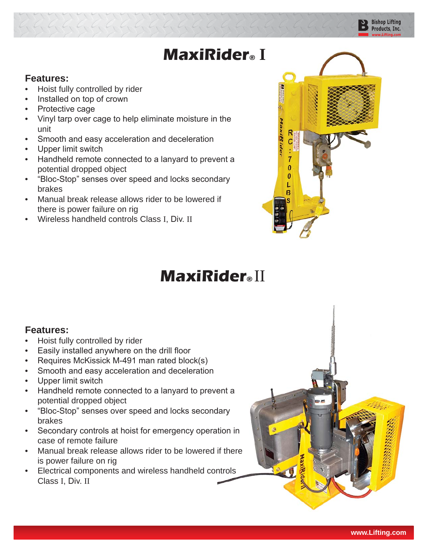## **MaxiRider® I**

## **Features:**

- Hoist fully controlled by rider
- Installed on top of crown
- Protective cage
- Vinyl tarp over cage to help eliminate moisture in the unit

- Smooth and easy acceleration and deceleration
- Upper limit switch
- Handheld remote connected to a lanyard to prevent a potential dropped object
- "Bloc-Stop" senses over speed and locks secondary brakes
- Manual break release allows rider to be lowered if there is power failure on rig
- Wireless handheld controls Class I, Div. II



**Bishop Lifting** Products, Inc.

# **MaxiRider®** II rent a<br> **rent a<br>
dary**<br> **rider®**

## **Features:**

- Hoist fully controlled by rider
- Easily installed anywhere on the drill floor
- Requires McKissick M-491 man rated block(s)
- Smooth and easy acceleration and deceleration
- Upper limit switch
- Handheld remote connected to a lanyard to prevent a potential dropped object • Handheld remote connected to a lanyard to prevent a<br>• "Bloc-Stop" senses over speed and locks secondary
- brakes
- Secondary controls at hoist for emergency operation in case of remote failure
- Manual break release allows rider to be lowered if there is power failure on rig
- Electrical components and wireless handheld controls Class I, Div. II